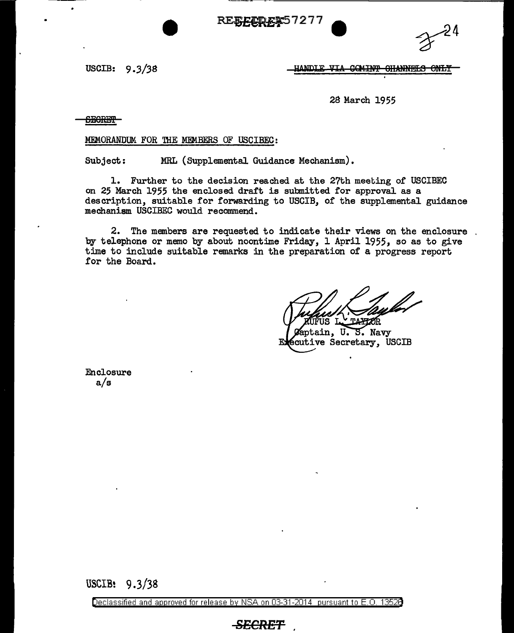RE<del>EECRE</del><sup>\$57277</sup>



USCIB: 9 *.3/38* 

HANDLE VIA COMINT OHANNELS ONLY

28 March 1955

<del>SECRET</del>

MEMORANDUM FOR THE MEMBERS OF USCIBEC:

Subject; MRL (Supplemental Guidance Mechanism) •

1. Further to the decision reached at the 27th meeting of USCIBEC on 25 March 1955 the enclosed draft is submitted for approval as a description, suitable for forwarding to USCIB, of the supplemental guidance mechanism USCIBEC would recommend.

2. The members are requested to indicate their views on the enclosure by telephone or memo by about noontime Friday, 1 April 1955, so as to give time to include suitable remarks in the preparation of a progress report for the Board.

Saptain, U.S. Navy<br>Scutive Secretary, USCIB ЕJ

Enclosure a/s

USCIB: 9.3/38

Declassified and approved for release by NSA on 03-31-2014 pursuant to E. 0. 1352B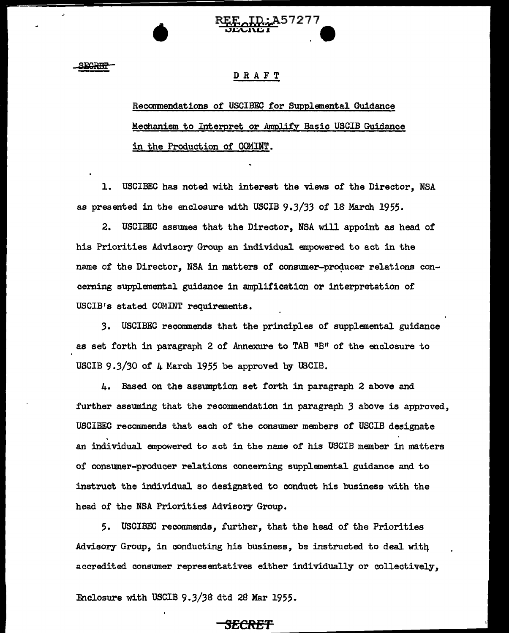

**SEGREFI** 

•

## DRAFT

Recommendations of USCIBEC for Supplemental Guidance Mechanism to Interpret or Amplify Basic USCIB Guidance in the Production of COMINT.

1. USCIBEC has noted with interest the views of the Director, NSA as presented in the enclosure with USCIB *9.3/33* of 18 March 1955.

2. USCIBEC assumes that the Director, NSA will appoint as head of his Priorities Advisory Group an individual empowered to act in the name of the Director, NSA in matters of consumer-producer relations concerning supplemental guidance in amplification or interpretation of USCIB's stated COMINT requirements.

*3.* USCIBEC recommends that the principles of supplemental guidance as set forth in paragraph 2 of Annexure to TAB "B" of the enclosure to USCIB 9.3/30 of 4 March 1955 be approved by USCIB.

4. Based on the assumption set forth in paragraph 2 above and further assuming that the recommendation in paragraph *3* above is approved, USCIBEC recommends that each of the consumer members of USCIB designate an individual empowered to act in the name of his USCIB member in matters of consumer-producer relations concerning supplemental guidance and to instruct the individual so designated to conduct his business with the head of the NSA Priorities Advisory Group.

5. USCIBEC recommends, further, that the head of the Priorities Advisory Group, in conducting his business, be instructed to deal witq accredited consumer representatives either individually or collectively,

Enclosure with USCIB 9.3/38 dtd 28 Mar 1955.

## $SECREL$